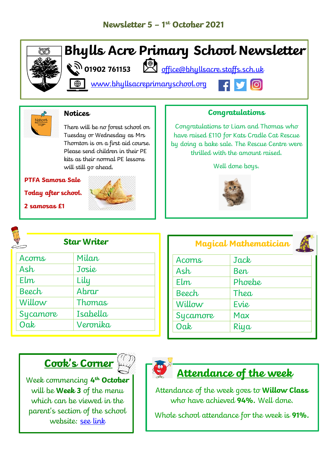



#### **Notices**

There will be no forest school on Tuesday or Wednesday as Mrs Thornton is on a first aid course. Please send children in their PE kits as their normal PE lessons will still go ahead.

#### **PTFA Samosa Sale**

**Today after school.** 

**2 samosas £1**



#### **Congratulations**

Congratulations to Liam and Thomas who have raised £110 for Kats Cradle Cat Rescue by doing a bake sale. The Rescue Centre were thrilled with the amount raised.

Well done boys.



# **Star Writer**

| Acorns       | Milan    |
|--------------|----------|
| Ash          | Josie    |
| Elm          | Lily     |
| <b>Beech</b> | Abrar    |
| Willow       | Thomas   |
| Sycamore     | Isabella |
| Oak          | Veronika |

### **Magical Mathematician** Acorns Jack Ash Ben  $Flm$  Phoebe Beech Thea Willow Fvie Sycamore | Max

# **Cook's Corner**





## **Attendance of the week**

Oak Riya

Attendance of the week goes to **Willow Class** who have achieved **94%.** Well done.

Whole school attendance for the week is **91%.**